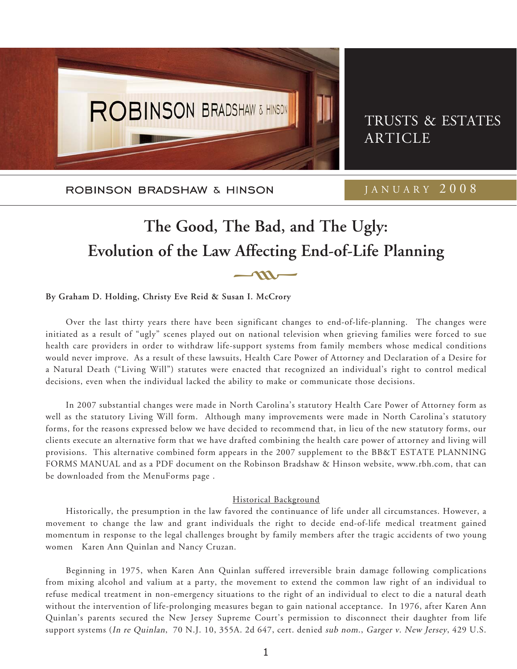

TRUSTS & ESTATES ARTICLE

ROBINSON BRADSHAW & HINSON

JANUARY 2008

# **The Good, The Bad, and The Ugly:** Evolution of the Law Affecting End-of-Life Planning

**By Graham D. Holding, Christy Eve Reid & Susan I. McCrory**

Over the last thirty years there have been significant changes to end-of-life-planning. The changes were initiated as a result of "ugly" scenes played out on national television when grieving families were forced to sue health care providers in order to withdraw life-support systems from family members whose medical conditions would never improve. As a result of these lawsuits, Health Care Power of Attorney and Declaration of a Desire for a Natural Death ("Living Will") statutes were enacted that recognized an individual's right to control medical decisions, even when the individual lacked the ability to make or communicate those decisions.

In 2007 substantial changes were made in North Carolina's statutory Health Care Power of Attorney form as well as the statutory Living Will form. Although many improvements were made in North Carolina's statutory forms, for the reasons expressed below we have decided to recommend that, in lieu of the new statutory forms, our clients execute an alternative form that we have drafted combining the health care power of attorney and living will provisions. This alternative combined form appears in the 2007 supplement to the BB&T ESTATE PLANNING FORMS MANUAL and as a PDF document on the Robinson Bradshaw & Hinson website, www.rbh.com, that can be downloaded from the MenuForms page .

#### Historical Background

Historically, the presumption in the law favored the continuance of life under all circumstances. However, a movement to change the law and grant individuals the right to decide end-of-life medical treatment gained momentum in response to the legal challenges brought by family members after the tragic accidents of two young women Karen Ann Quinlan and Nancy Cruzan.

Beginning in 1975, when Karen Ann Quinlan suffered irreversible brain damage following complications from mixing alcohol and valium at a party, the movement to extend the common law right of an individual to refuse medical treatment in non-emergency situations to the right of an individual to elect to die a natural death without the intervention of life-prolonging measures began to gain national acceptance. In 1976, after Karen Ann Quinlan's parents secured the New Jersey Supreme Court's permission to disconnect their daughter from life support systems (In re Quinlan, 70 N.J. 10, 355A. 2d 647, cert. denied sub nom., Garger v. New Jersey, 429 U.S.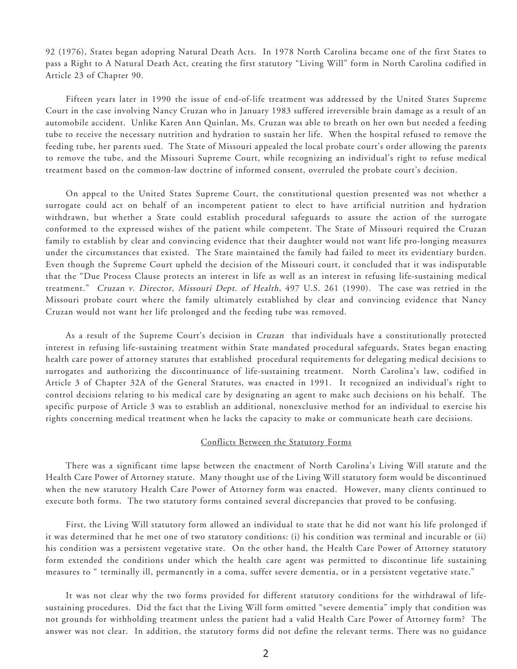92 (1976), States began adopting Natural Death Acts. In 1978 North Carolina became one of the first States to pass a Right to A Natural Death Act, creating the first statutory "Living Will" form in North Carolina codified in Article 23 of Chapter 90.

Fifteen years later in 1990 the issue of end-of-life treatment was addressed by the United States Supreme Court in the case involving Nancy Cruzan who in January 1983 suffered irreversible brain damage as a result of an automobile accident. Unlike Karen Ann Quinlan, Ms. Cruzan was able to breath on her own but needed a feeding tube to receive the necessary nutrition and hydration to sustain her life. When the hospital refused to remove the feeding tube, her parents sued. The State of Missouri appealed the local probate court's order allowing the parents to remove the tube, and the Missouri Supreme Court, while recognizing an individual's right to refuse medical treatment based on the common-law doctrine of informed consent, overruled the probate court's decision.

On appeal to the United States Supreme Court, the constitutional question presented was not whether a surrogate could act on behalf of an incompetent patient to elect to have artificial nutrition and hydration withdrawn, but whether a State could establish procedural safeguards to assure the action of the surrogate conformed to the expressed wishes of the patient while competent. The State of Missouri required the Cruzan family to establish by clear and convincing evidence that their daughter would not want life pro-longing measures under the circumstances that existed. The State maintained the family had failed to meet its evidentiary burden. Even though the Supreme Court upheld the decision of the Missouri court, it concluded that it was indisputable that the "Due Process Clause protects an interest in life as well as an interest in refusing life-sustaining medical treatment." Cruzan v. Director, Missouri Dept. of Health, 497 U.S. 261 (1990). The case was retried in the Missouri probate court where the family ultimately established by clear and convincing evidence that Nancy Cruzan would not want her life prolonged and the feeding tube was removed.

As a result of the Supreme Court's decision in Cruzan that individuals have a constitutionally protected interest in refusing life-sustaining treatment within State mandated procedural safeguards, States began enacting health care power of attorney statutes that established procedural requirements for delegating medical decisions to surrogates and authorizing the discontinuance of life-sustaining treatment. North Carolina's law, codified in Article 3 of Chapter 32A of the General Statutes, was enacted in 1991. It recognized an individual's right to control decisions relating to his medical care by designating an agent to make such decisions on his behalf. The specific purpose of Article 3 was to establish an additional, nonexclusive method for an individual to exercise his rights concerning medical treatment when he lacks the capacity to make or communicate heath care decisions.

#### Conflicts Between the Statutory Forms

There was a significant time lapse between the enactment of North Carolina's Living Will statute and the Health Care Power of Attorney statute. Many thought use of the Living Will statutory form would be discontinued when the new statutory Health Care Power of Attorney form was enacted. However, many clients continued to execute both forms. The two statutory forms contained several discrepancies that proved to be confusing.

First, the Living Will statutory form allowed an individual to state that he did not want his life prolonged if it was determined that he met one of two statutory conditions: (i) his condition was terminal and incurable or (ii) his condition was a persistent vegetative state. On the other hand, the Health Care Power of Attorney statutory form extended the conditions under which the health care agent was permitted to discontinue life sustaining measures to " terminally ill, permanently in a coma, suffer severe dementia, or in a persistent vegetative state."

It was not clear why the two forms provided for different statutory conditions for the withdrawal of lifesustaining procedures. Did the fact that the Living Will form omitted "severe dementia" imply that condition was not grounds for withholding treatment unless the patient had a valid Health Care Power of Attorney form? The answer was not clear. In addition, the statutory forms did not define the relevant terms. There was no guidance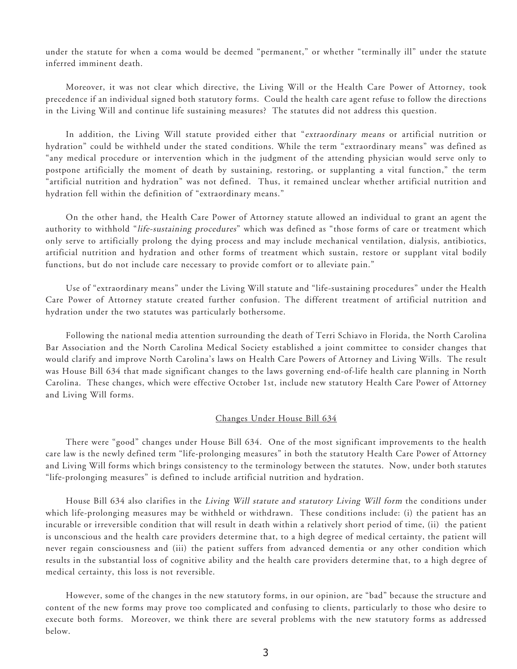under the statute for when a coma would be deemed "permanent," or whether "terminally ill" under the statute inferred imminent death.

Moreover, it was not clear which directive, the Living Will or the Health Care Power of Attorney, took precedence if an individual signed both statutory forms. Could the health care agent refuse to follow the directions in the Living Will and continue life sustaining measures? The statutes did not address this question.

In addition, the Living Will statute provided either that "extraordinary means or artificial nutrition or hydration" could be withheld under the stated conditions. While the term "extraordinary means" was defined as "any medical procedure or intervention which in the judgment of the attending physician would serve only to postpone artificially the moment of death by sustaining, restoring, or supplanting a vital function," the term "artificial nutrition and hydration" was not defined. Thus, it remained unclear whether artificial nutrition and hydration fell within the definition of "extraordinary means."

On the other hand, the Health Care Power of Attorney statute allowed an individual to grant an agent the authority to withhold "life-sustaining procedures" which was defined as "those forms of care or treatment which only serve to artificially prolong the dying process and may include mechanical ventilation, dialysis, antibiotics, artificial nutrition and hydration and other forms of treatment which sustain, restore or supplant vital bodily functions, but do not include care necessary to provide comfort or to alleviate pain."

Use of "extraordinary means" under the Living Will statute and "life-sustaining procedures" under the Health Care Power of Attorney statute created further confusion. The different treatment of artificial nutrition and hydration under the two statutes was particularly bothersome.

Following the national media attention surrounding the death of Terri Schiavo in Florida, the North Carolina Bar Association and the North Carolina Medical Society established a joint committee to consider changes that would clarify and improve North Carolina's laws on Health Care Powers of Attorney and Living Wills. The result was House Bill 634 that made significant changes to the laws governing end-of-life health care planning in North Carolina. These changes, which were effective October 1st, include new statutory Health Care Power of Attorney and Living Will forms.

#### Changes Under House Bill 634

There were "good" changes under House Bill 634. One of the most significant improvements to the health care law is the newly defined term "life-prolonging measures" in both the statutory Health Care Power of Attorney and Living Will forms which brings consistency to the terminology between the statutes. Now, under both statutes "life-prolonging measures" is defined to include artificial nutrition and hydration.

House Bill 634 also clarifies in the Living Will statute and statutory Living Will form the conditions under which life-prolonging measures may be withheld or withdrawn. These conditions include: (i) the patient has an incurable or irreversible condition that will result in death within a relatively short period of time, (ii) the patient is unconscious and the health care providers determine that, to a high degree of medical certainty, the patient will never regain consciousness and (iii) the patient suffers from advanced dementia or any other condition which results in the substantial loss of cognitive ability and the health care providers determine that, to a high degree of medical certainty, this loss is not reversible.

However, some of the changes in the new statutory forms, in our opinion, are "bad" because the structure and content of the new forms may prove too complicated and confusing to clients, particularly to those who desire to execute both forms. Moreover, we think there are several problems with the new statutory forms as addressed below.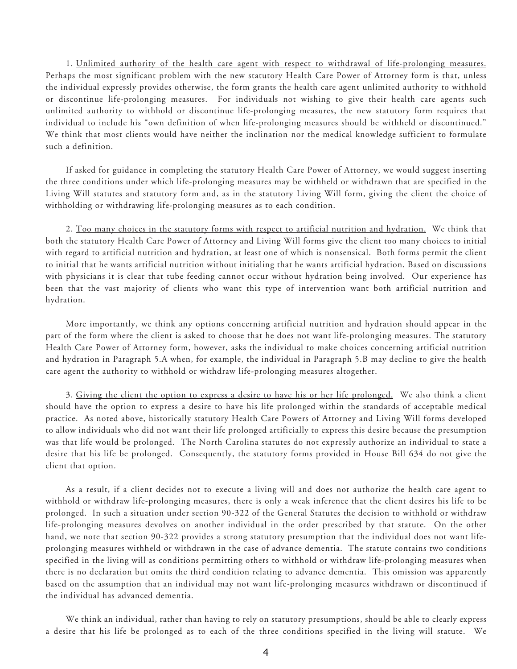1. Unlimited authority of the health care agent with respect to withdrawal of life-prolonging measures. Perhaps the most significant problem with the new statutory Health Care Power of Attorney form is that, unless the individual expressly provides otherwise, the form grants the health care agent unlimited authority to withhold or discontinue life-prolonging measures. For individuals not wishing to give their health care agents such unlimited authority to withhold or discontinue life-prolonging measures, the new statutory form requires that individual to include his "own definition of when life-prolonging measures should be withheld or discontinued." We think that most clients would have neither the inclination nor the medical knowledge sufficient to formulate such a definition.

If asked for guidance in completing the statutory Health Care Power of Attorney, we would suggest inserting the three conditions under which life-prolonging measures may be withheld or withdrawn that are specified in the Living Will statutes and statutory form and, as in the statutory Living Will form, giving the client the choice of withholding or withdrawing life-prolonging measures as to each condition.

2. Too many choices in the statutory forms with respect to artificial nutrition and hydration. We think that both the statutory Health Care Power of Attorney and Living Will forms give the client too many choices to initial with regard to artificial nutrition and hydration, at least one of which is nonsensical. Both forms permit the client to initial that he wants artificial nutrition without initialing that he wants artificial hydration. Based on discussions with physicians it is clear that tube feeding cannot occur without hydration being involved. Our experience has been that the vast majority of clients who want this type of intervention want both artificial nutrition and hydration.

More importantly, we think any options concerning artificial nutrition and hydration should appear in the part of the form where the client is asked to choose that he does not want life-prolonging measures. The statutory Health Care Power of Attorney form, however, asks the individual to make choices concerning artificial nutrition and hydration in Paragraph 5.A when, for example, the individual in Paragraph 5.B may decline to give the health care agent the authority to withhold or withdraw life-prolonging measures altogether.

3. Giving the client the option to express a desire to have his or her life prolonged. We also think a client should have the option to express a desire to have his life prolonged within the standards of acceptable medical practice. As noted above, historically statutory Health Care Powers of Attorney and Living Will forms developed to allow individuals who did not want their life prolonged artificially to express this desire because the presumption was that life would be prolonged. The North Carolina statutes do not expressly authorize an individual to state a desire that his life be prolonged. Consequently, the statutory forms provided in House Bill 634 do not give the client that option.

As a result, if a client decides not to execute a living will and does not authorize the health care agent to withhold or withdraw life-prolonging measures, there is only a weak inference that the client desires his life to be prolonged. In such a situation under section 90-322 of the General Statutes the decision to withhold or withdraw life-prolonging measures devolves on another individual in the order prescribed by that statute. On the other hand, we note that section 90-322 provides a strong statutory presumption that the individual does not want lifeprolonging measures withheld or withdrawn in the case of advance dementia. The statute contains two conditions specified in the living will as conditions permitting others to withhold or withdraw life-prolonging measures when there is no declaration but omits the third condition relating to advance dementia. This omission was apparently based on the assumption that an individual may not want life-prolonging measures withdrawn or discontinued if the individual has advanced dementia.

We think an individual, rather than having to rely on statutory presumptions, should be able to clearly express a desire that his life be prolonged as to each of the three conditions specified in the living will statute. We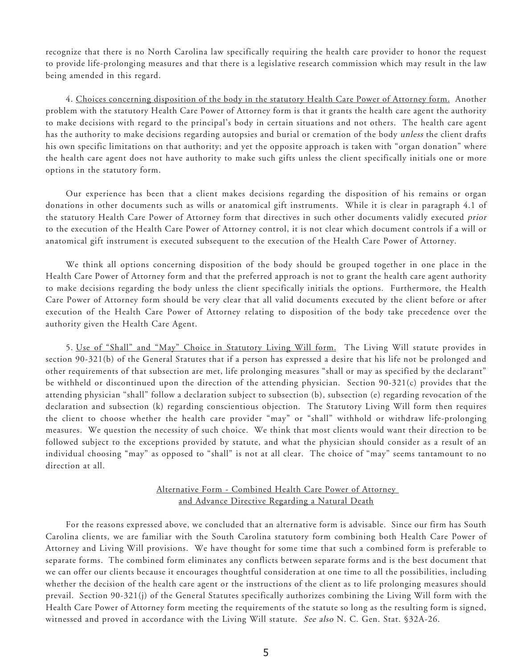recognize that there is no North Carolina law specifically requiring the health care provider to honor the request to provide life-prolonging measures and that there is a legislative research commission which may result in the law being amended in this regard.

4. Choices concerning disposition of the body in the statutory Health Care Power of Attorney form. Another problem with the statutory Health Care Power of Attorney form is that it grants the health care agent the authority to make decisions with regard to the principal's body in certain situations and not others. The health care agent has the authority to make decisions regarding autopsies and burial or cremation of the body unless the client drafts his own specific limitations on that authority; and yet the opposite approach is taken with "organ donation" where the health care agent does not have authority to make such gifts unless the client specifically initials one or more options in the statutory form.

Our experience has been that a client makes decisions regarding the disposition of his remains or organ donations in other documents such as wills or anatomical gift instruments. While it is clear in paragraph 4.1 of the statutory Health Care Power of Attorney form that directives in such other documents validly executed prior to the execution of the Health Care Power of Attorney control, it is not clear which document controls if a will or anatomical gift instrument is executed subsequent to the execution of the Health Care Power of Attorney.

We think all options concerning disposition of the body should be grouped together in one place in the Health Care Power of Attorney form and that the preferred approach is not to grant the health care agent authority to make decisions regarding the body unless the client specifically initials the options. Furthermore, the Health Care Power of Attorney form should be very clear that all valid documents executed by the client before or after execution of the Health Care Power of Attorney relating to disposition of the body take precedence over the authority given the Health Care Agent.

5. Use of "Shall" and "May" Choice in Statutory Living Will form. The Living Will statute provides in section 90-321(b) of the General Statutes that if a person has expressed a desire that his life not be prolonged and other requirements of that subsection are met, life prolonging measures "shall or may as specified by the declarant" be withheld or discontinued upon the direction of the attending physician. Section 90-321(c) provides that the attending physician "shall" follow a declaration subject to subsection (b), subsection (e) regarding revocation of the declaration and subsection (k) regarding conscientious objection. The Statutory Living Will form then requires the client to choose whether the health care provider "may" or "shall" withhold or withdraw life-prolonging measures. We question the necessity of such choice. We think that most clients would want their direction to be followed subject to the exceptions provided by statute, and what the physician should consider as a result of an individual choosing "may" as opposed to "shall" is not at all clear. The choice of "may" seems tantamount to no direction at all.

## Alternative Form - Combined Health Care Power of Attorney and Advance Directive Regarding a Natural Death

For the reasons expressed above, we concluded that an alternative form is advisable. Since our firm has South Carolina clients, we are familiar with the South Carolina statutory form combining both Health Care Power of Attorney and Living Will provisions. We have thought for some time that such a combined form is preferable to separate forms. The combined form eliminates any conflicts between separate forms and is the best document that we can offer our clients because it encourages thoughtful consideration at one time to all the possibilities, including whether the decision of the health care agent or the instructions of the client as to life prolonging measures should prevail. Section 90-321(j) of the General Statutes specifically authorizes combining the Living Will form with the Health Care Power of Attorney form meeting the requirements of the statute so long as the resulting form is signed, witnessed and proved in accordance with the Living Will statute. See also N. C. Gen. Stat. §32A-26.